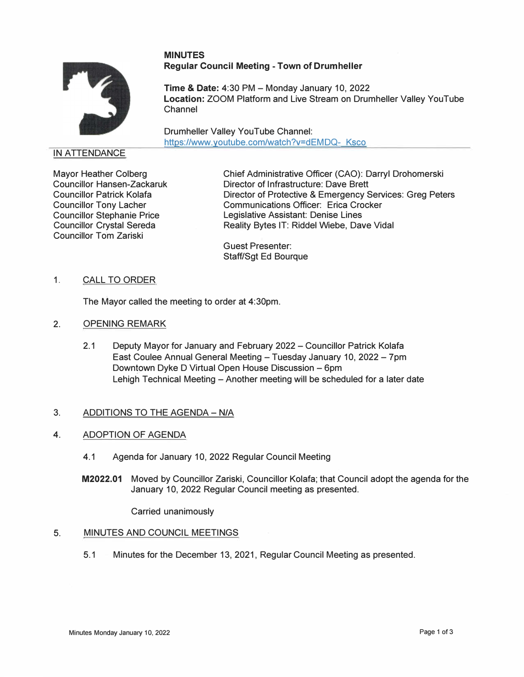## **MINUTES Regular Council Meeting - Town of Drumheller**



**Time & Date: 4:30 PM - Monday January 10, 2022 Location:** ZOOM Platform and Live Stream on Drumheller Valley YouTube Channel

Drumheller Valley YouTube Channel: https://www.youtube.com/watch?v=dEMDQ- Ksco

## IN ATTENDANCE

Mayor Heather Colberg Councillor Hansen-Zackaruk Councillor Patrick Kolafa Councillor Tony Lacher Councillor Stephanie Price Councillor Crystal Sereda Councillor Tom Zariski

Chief Administrative Officer (CAO): Darryl Drohomerski Director of Infrastructure: Dave Brett Director of Protective & Emergency Services: Greg Peters Communications Officer: Erica Crocker Legislative Assistant: Denise Lines Reality Bytes IT: Riddel Wiebe, Dave Vidal

Guest Presenter: Staff/Sgt Ed Bourque

1. CALL TO ORDER

The Mayor called the meeting to order at 4:30pm.

- 2. OPENING REMARK
	- 2.1 Deputy Mayor for January and February 2022 Councillor Patrick Kolafa East Coulee Annual General Meeting - Tuesday January 10, 2022 - 7pm Downtown Dyke D Virtual Open House Discussion - 6pm Lehigh Technical Meeting – Another meeting will be scheduled for a later date

# 3. ADDITIONS TO THE AGENDA - N/A

### **4.** ADOPTION OF AGENDA

- 4.1 Agenda for January 10, 2022 Regular Council Meeting
- **M2022.01** Moved by Councillor Zariski, Councillor Kolafa; that Council adopt the agenda for the January 10, 2022 Regular Council meeting as presented.

Carried unanimously

### 5. MINUTES AND COUNCIL MEETINGS

5.1 Minutes for the December 13, 2021, Regular Council Meeting as presented.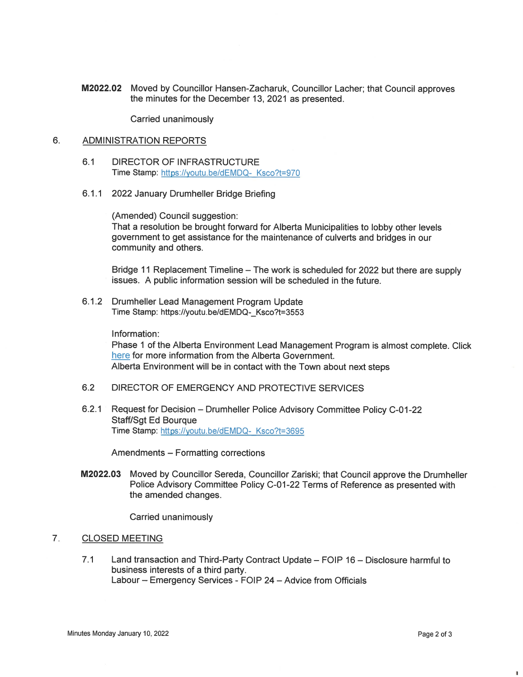M2022.02 Moved by Councillor Hansen-Zacharuk, Councillor Lacher; that Council approves the minutes for the December 13, 2021 as presented.

Carried unanimously

#### 6. **ADMINISTRATION REPORTS**

- $6.1$ **DIRECTOR OF INFRASTRUCTURE** Time Stamp: https://youtu.be/dEMDQ- Ksco?t=970
- 6.1.1 2022 January Drumheller Bridge Briefing

(Amended) Council suggestion: That a resolution be brought forward for Alberta Municipalities to lobby other levels government to get assistance for the maintenance of culverts and bridges in our community and others.

Bridge 11 Replacement Timeline – The work is scheduled for 2022 but there are supply issues. A public information session will be scheduled in the future.

6.1.2 Drumheller Lead Management Program Update Time Stamp: https://youtu.be/dEMDQ- Ksco?t=3553

Information:

Phase 1 of the Alberta Environment Lead Management Program is almost complete. Click here for more information from the Alberta Government. Alberta Environment will be in contact with the Town about next steps

- $6.2$ DIRECTOR OF EMERGENCY AND PROTECTIVE SERVICES
- $6.2.1$ Request for Decision - Drumheller Police Advisory Committee Policy C-01-22 **Staff/Sat Ed Bouraue** Time Stamp: https://youtu.be/dEMDQ- Ksco?t=3695

Amendments - Formatting corrections

Moved by Councillor Sereda, Councillor Zariski; that Council approve the Drumheller M2022.03 Police Advisory Committee Policy C-01-22 Terms of Reference as presented with the amended changes.

Carried unanimously

#### $7<sub>1</sub>$ **CLOSED MEETING**

 $7.1$ Land transaction and Third-Party Contract Update - FOIP 16 - Disclosure harmful to business interests of a third party. Labour - Emergency Services - FOIP 24 - Advice from Officials